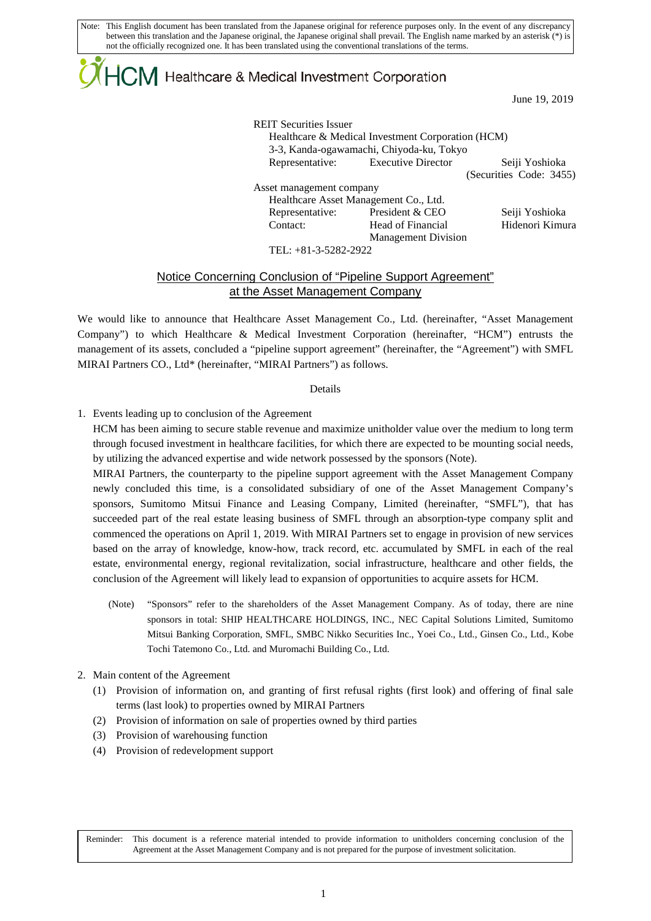Note: This English document has been translated from the Japanese original for reference purposes only. In the event of any discrepancy between this translation and the Japanese original, the Japanese original shall prevail. The English name marked by an asterisk (\*) is not the officially recognized one. It has been translated using the conventional translations of the terms.

# $\mathsf{ICM}\xspace$  Healthcare & Medical Investment Corporation

June 19, 2019

REIT Securities Issuer Healthcare & Medical Investment Corporation (HCM) 3-3, Kanda-ogawamachi, Chiyoda-ku, Tokyo Representative: Executive Director Seiji Yoshioka (Securities Code: 3455) Asset management company Healthcare Asset Management Co., Ltd. Representative: President & CEO Seiji Yoshioka Contact: Head of Financial Management Division Hidenori Kimura

TEL: +81-3-5282-2922

## Notice Concerning Conclusion of "Pipeline Support Agreement" at the Asset Management Company

We would like to announce that Healthcare Asset Management Co., Ltd. (hereinafter, "Asset Management Company") to which Healthcare & Medical Investment Corporation (hereinafter, "HCM") entrusts the management of its assets, concluded a "pipeline support agreement" (hereinafter, the "Agreement") with SMFL MIRAI Partners CO., Ltd\* (hereinafter, "MIRAI Partners") as follows.

#### Details

1. Events leading up to conclusion of the Agreement

HCM has been aiming to secure stable revenue and maximize unitholder value over the medium to long term through focused investment in healthcare facilities, for which there are expected to be mounting social needs, by utilizing the advanced expertise and wide network possessed by the sponsors (Note).

MIRAI Partners, the counterparty to the pipeline support agreement with the Asset Management Company newly concluded this time, is a consolidated subsidiary of one of the Asset Management Company's sponsors, Sumitomo Mitsui Finance and Leasing Company, Limited (hereinafter, "SMFL"), that has succeeded part of the real estate leasing business of SMFL through an absorption-type company split and commenced the operations on April 1, 2019. With MIRAI Partners set to engage in provision of new services based on the array of knowledge, know-how, track record, etc. accumulated by SMFL in each of the real estate, environmental energy, regional revitalization, social infrastructure, healthcare and other fields, the conclusion of the Agreement will likely lead to expansion of opportunities to acquire assets for HCM.

- (Note) "Sponsors" refer to the shareholders of the Asset Management Company. As of today, there are nine sponsors in total: SHIP HEALTHCARE HOLDINGS, INC., NEC Capital Solutions Limited, Sumitomo Mitsui Banking Corporation, SMFL, SMBC Nikko Securities Inc., Yoei Co., Ltd., Ginsen Co., Ltd., Kobe Tochi Tatemono Co., Ltd. and Muromachi Building Co., Ltd.
- 2. Main content of the Agreement
	- (1) Provision of information on, and granting of first refusal rights (first look) and offering of final sale terms (last look) to properties owned by MIRAI Partners
	- (2) Provision of information on sale of properties owned by third parties
	- (3) Provision of warehousing function
	- (4) Provision of redevelopment support

Reminder: This document is a reference material intended to provide information to unitholders concerning conclusion of the Agreement at the Asset Management Company and is not prepared for the purpose of investment solicitation.